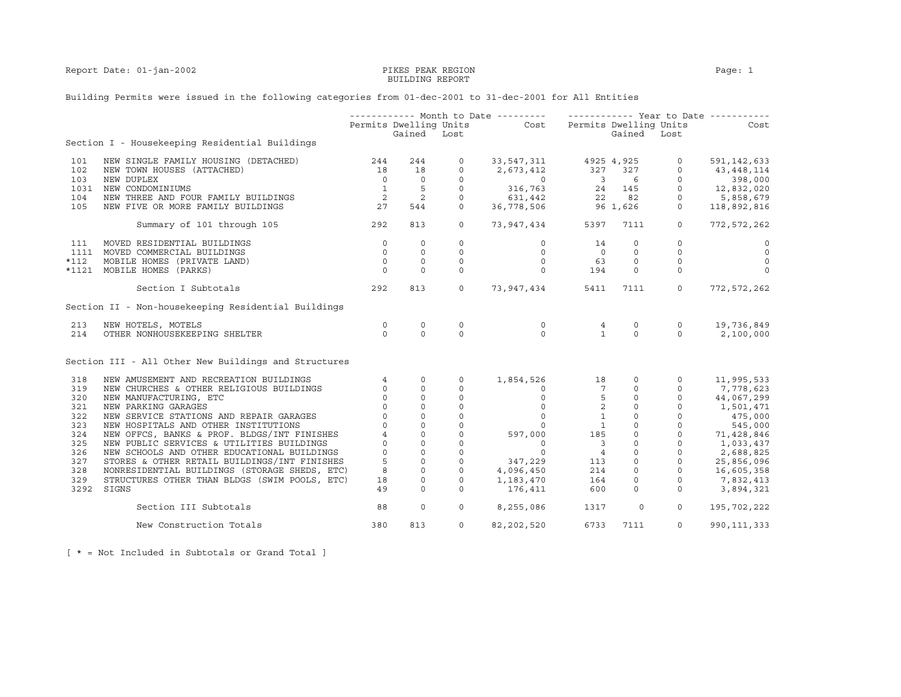Report Date: 01-jan-2002 **PIKES PEAK REGION** PAGE: 1

## BUILDING REPORT

## Building Permits were issued in the following categories from 01-dec-2001 to 31-dec-2001 for All Entities

|        |                                                      |                                                 |                |                   | ----------- Month to Date ---------    ------------    Year to Date ----------                                                                                                      |                                                                                |             |                |                                         |
|--------|------------------------------------------------------|-------------------------------------------------|----------------|-------------------|-------------------------------------------------------------------------------------------------------------------------------------------------------------------------------------|--------------------------------------------------------------------------------|-------------|----------------|-----------------------------------------|
|        |                                                      |                                                 |                |                   | Permits Dwelling Units Cost Permits Dwelling Units                                                                                                                                  |                                                                                |             |                | Cost                                    |
|        |                                                      |                                                 | Gained Lost    |                   |                                                                                                                                                                                     |                                                                                | Gained Lost |                |                                         |
|        | Section I - Housekeeping Residential Buildings       |                                                 |                |                   |                                                                                                                                                                                     |                                                                                |             |                |                                         |
| 101    | NEW SINGLE FAMILY HOUSING (DETACHED)                 | 244                                             | 244            | $\circ$           | 33, 547, 311 4925 4, 925                                                                                                                                                            |                                                                                |             | $\circ$        | 591, 142, 633                           |
| 102    | NEW TOWN HOUSES (ATTACHED)                           | 18                                              | 18             |                   |                                                                                                                                                                                     |                                                                                |             |                | 43,448,114                              |
| 103    | NEW DUPLEX                                           |                                                 | $\overline{0}$ |                   |                                                                                                                                                                                     |                                                                                |             |                |                                         |
| 1031   | NEW CONDOMINIUMS                                     |                                                 |                |                   |                                                                                                                                                                                     |                                                                                |             |                |                                         |
| 104    | NEW THREE AND FOUR FAMILY BUILDINGS                  | $\begin{array}{c} 0 \\ 1 \\ 2 \\ 2 \end{array}$ | $\frac{5}{2}$  |                   |                                                                                                                                                                                     |                                                                                |             | $\overline{0}$ | $12,832,020$<br>$-958,679$<br>5,858,679 |
| 105    | NEW FIVE OR MORE FAMILY BUILDINGS                    | 27                                              | 544            |                   | $\begin{array}{ccccccccc} 0 & 2,673,412 & 327 & 327 & 0 \ 0 & 0 & 3 & 6 & 0 \ 0 & 316,763 & 24 & 145 & 0 \ 0 & 631,442 & 22 & 82 & 0 \ 0 & 36,778,506 & 96 & 1,626 & 0 \end{array}$ |                                                                                |             |                | 118,892,816                             |
|        | Summary of 101 through 105                           | 292                                             | 813            | $\circ$           | 73,947,434 5397                                                                                                                                                                     |                                                                                | 7111        | $\circ$        | 772,572,262                             |
| 111    | MOVED RESIDENTIAL BUILDINGS                          | $\overline{0}$                                  | $\circ$        | $\circ$           | $\circ$                                                                                                                                                                             | 14                                                                             | $\Omega$    | $\Omega$       | $\circ$                                 |
|        | 1111 MOVED COMMERCIAL BUILDINGS                      | $\circ$                                         | $\circ$        | $\circ$           | $\circ$                                                                                                                                                                             | $\overline{0}$                                                                 | $\circ$     | $\circ$        | $\overline{0}$                          |
| $*112$ | MOBILE HOMES (PRIVATE LAND)                          | $\overline{0}$                                  | $\circ$        | $\circ$           | $\circ$                                                                                                                                                                             |                                                                                | $\circ$     | $\circ$        | $\circ$                                 |
|        | *1121 MOBILE HOMES (PARKS)                           | $\Omega$                                        | $\Omega$       | $\Omega$          | $\Omega$                                                                                                                                                                            | 194                                                                            | $\Omega$    | $\circ$        | $\circ$                                 |
|        | Section I Subtotals                                  | 292                                             | 813            |                   | $0\qquad 73,947,434$                                                                                                                                                                | 5411                                                                           | 7111        | $\overline{0}$ | 772,572,262                             |
|        | Section II - Non-housekeeping Residential Buildings  |                                                 |                |                   |                                                                                                                                                                                     |                                                                                |             |                |                                         |
| 213    | NEW HOTELS, MOTELS                                   | $\circ$                                         | $\circ$        | $\circ$           | $\circ$                                                                                                                                                                             | $\overline{4}$                                                                 | $\circ$     | $\circ$        | 19,736,849                              |
| 214    | OTHER NONHOUSEKEEPING SHELTER                        | $\Omega$                                        | $\Omega$       | $\Omega$          | $\Omega$                                                                                                                                                                            | $\overline{1}$                                                                 | $\Omega$    | $\Omega$       | 2,100,000                               |
|        | Section III - All Other New Buildings and Structures |                                                 |                |                   |                                                                                                                                                                                     |                                                                                |             |                |                                         |
| 318    | NEW AMUSEMENT AND RECREATION BUILDINGS               | $4\overline{ }$                                 | $\circ$        | $\Omega$          | 1,854,526 18                                                                                                                                                                        |                                                                                | $\circ$     | $\mathbf{0}$   | 11,995,533                              |
| 319    | NEW CHURCHES & OTHER RELIGIOUS BUILDINGS             | $\circ$                                         | $\circ$        | $\mathbf{0}$      |                                                                                                                                                                                     | $\begin{array}{ccc} 0 & 0 & 7 \\ 0 & 5 \\ 0 & 2 \\ 0 & 1 \\ 0 & 1 \end{array}$ |             |                | 7,778,623                               |
| 320    | NEW MANUFACTURING, ETC                               | $\circ$                                         | $\mathbf 0$    | $\circ$           |                                                                                                                                                                                     |                                                                                |             |                | 44,067,299                              |
| 321    | NEW PARKING GARAGES                                  | $\circ$                                         | $\circ$        | $\circ$           |                                                                                                                                                                                     |                                                                                |             |                | 1,501,471                               |
| 322    | NEW SERVICE STATIONS AND REPAIR GARAGES              | $\Omega$                                        | $\circ$        | $\circ$           |                                                                                                                                                                                     |                                                                                |             |                | 475,000<br>545,000<br>71,428,846        |
| 323    | NEW HOSPITALS AND OTHER INSTITUTIONS                 | $\Omega$                                        | $\circ$        | $\mathbf{0}$      |                                                                                                                                                                                     |                                                                                |             |                |                                         |
| 324    | NEW OFFCS, BANKS & PROF. BLDGS/INT FINISHES          | $\overline{4}$                                  | $\circ$        | $\circ$           | 597,000                                                                                                                                                                             | 185                                                                            |             |                |                                         |
| 325    | NEW PUBLIC SERVICES & UTILITIES BUILDINGS            | $\mathbf 0$                                     | $\circ$        | $\circ$           | $\begin{matrix} 0 \\ 0 \end{matrix}$                                                                                                                                                | $\overline{\mathbf{3}}$                                                        |             |                | 1,033,437<br>2,688,825                  |
| 326    | NEW SCHOOLS AND OTHER EDUCATIONAL BUILDINGS          | $\Omega$                                        | $\circ$        | $\circ$           |                                                                                                                                                                                     |                                                                                |             |                |                                         |
| 327    | STORES & OTHER RETAIL BUILDINGS/INT FINISHES         | 5                                               | $\circ$        | $\circ$           | $\begin{array}{ccc} & 0 & 4 \\ 347,229 & 113 \\ 4,096,450 & 214 \\ 1,183,470 & 164 \end{array}$                                                                                     |                                                                                |             |                | 25,856,096                              |
| 328    | NONRESIDENTIAL BUILDINGS (STORAGE SHEDS, ETC)        | 8                                               | $\mathbb O$    | $\circ$           |                                                                                                                                                                                     |                                                                                |             |                | 16,605,358                              |
| 329    | STRUCTURES OTHER THAN BLDGS (SWIM POOLS, ETC)        | 18                                              | $\circ$        | $\circ$           |                                                                                                                                                                                     |                                                                                |             |                | 7,832,413                               |
| 3292   | SIGNS                                                | 49                                              | $\Omega$       | $\Omega$          | 176,411                                                                                                                                                                             | 600                                                                            | $\Omega$    | $\Omega$       | 3,894,321                               |
|        | Section III Subtotals                                | 88                                              | $\mathbf 0$    | $0 \qquad \qquad$ | 8,255,086                                                                                                                                                                           | 1317                                                                           | $\circ$     | $\circ$        | 195,702,222                             |
|        | New Construction Totals                              | 380                                             | 813            | $\Omega$          | 82, 202, 520                                                                                                                                                                        | 6733                                                                           | 7111        | $\circ$        | 990, 111, 333                           |

[ \* = Not Included in Subtotals or Grand Total ]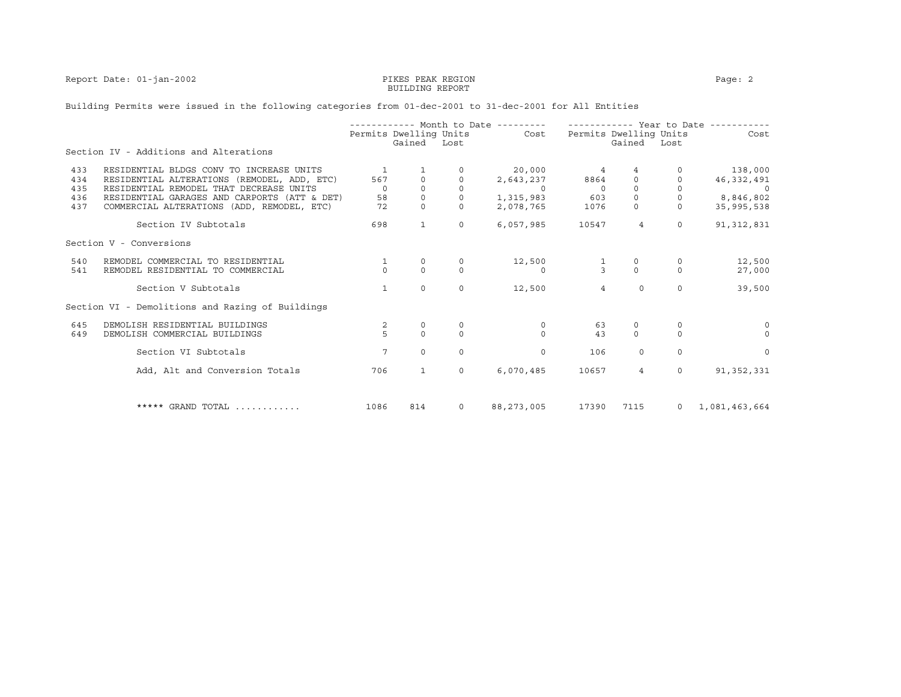Report Date: 01-jan-2002 PIKES PEAK REGION Page: 2

## BUILDING REPORT

## Building Permits were issued in the following categories from 01-dec-2001 to 31-dec-2001 for All Entities

|     |                                                  | ----------- Month to Date --------- |                        |          |               | ----------- Year to Date ------ |                |                |               |
|-----|--------------------------------------------------|-------------------------------------|------------------------|----------|---------------|---------------------------------|----------------|----------------|---------------|
|     |                                                  |                                     | Permits Dwelling Units |          | <b>Cost</b>   | Permits Dwelling Units          |                |                | Cost          |
|     | Section IV - Additions and Alterations           |                                     | Gained Lost            |          |               |                                 | Gained Lost    |                |               |
| 433 | RESIDENTIAL BLDGS CONV TO INCREASE UNITS         | -1                                  |                        |          | 20,000        | $\sim$ 4                        | 4              |                | 138,000       |
| 434 | RESIDENTIAL ALTERATIONS (REMODEL, ADD, ETC)      | 567                                 | $\mathbf{0}$           |          | 2,643,237     | 8864                            | $\circ$        |                | 46,332,491    |
| 435 | RESIDENTIAL REMODEL THAT DECREASE UNITS          | $\Omega$                            | $\Omega$               | $\Omega$ | $\sim$ 0      | $\overline{0}$                  | $\Omega$       | $\Omega$       |               |
| 436 | RESIDENTIAL GARAGES AND CARPORTS (ATT & DET)     | 58                                  | $\circ$                |          | 1,315,983 603 |                                 | $\Omega$       |                | 8,846,802     |
| 437 | COMMERCIAL ALTERATIONS (ADD, REMODEL, ETC)       | 72                                  | $\Omega$               | $\Omega$ | 2,078,765     | 1076                            | $\circ$        | $\circ$        | 35,995,538    |
|     | Section IV Subtotals                             | 698                                 | $\mathbf{1}$           | $\circ$  | 6,057,985     | 10547                           | $\overline{4}$ | $\Omega$       | 91, 312, 831  |
|     | Section V - Conversions                          |                                     |                        |          |               |                                 |                |                |               |
| 540 | REMODEL COMMERCIAL TO RESIDENTIAL                | 1                                   | $\circ$                | $\circ$  | 12,500        |                                 | $\circ$        | $\circ$        | 12,500        |
| 541 | REMODEL RESIDENTIAL TO COMMERCIAL                | $\Omega$                            | $\Omega$               | $\Omega$ | $\Omega$      | $\overline{3}$                  | $\Omega$       | $\Omega$       | 27,000        |
|     | Section V Subtotals                              | $\mathbf{1}$                        | $\Omega$               | $\Omega$ | 12,500        | $\overline{4}$                  | $\Omega$       | $\Omega$       | 39,500        |
|     | Section VI - Demolitions and Razing of Buildings |                                     |                        |          |               |                                 |                |                |               |
| 645 | DEMOLISH RESIDENTIAL BUILDINGS                   | 2                                   | 0                      |          | 0             | 63                              | 0              | $\circ$        | $\circ$       |
| 649 | DEMOLISH COMMERCIAL BUILDINGS                    | $\overline{5}$                      | $\Omega$               | $\Omega$ | $\Omega$      | 43                              | $\Omega$       | $\Omega$       | $\Omega$      |
|     | Section VI Subtotals                             | $7\overline{ }$                     | $\Omega$               | $\Omega$ | $\Omega$      | 106                             | $\Omega$       | $\Omega$       | $\Omega$      |
|     | Add, Alt and Conversion Totals                   | 706                                 | $\mathbf{1}$           | $\Omega$ | 6,070,485     | 10657                           | $\overline{4}$ | $\Omega$       | 91,352,331    |
|     |                                                  |                                     |                        |          |               |                                 |                |                |               |
|     | ***** GRAND TOTAL                                | 1086                                | 814                    | $\circ$  | 88, 273, 005  | 17390                           | 7115           | $\overline{0}$ | 1,081,463,664 |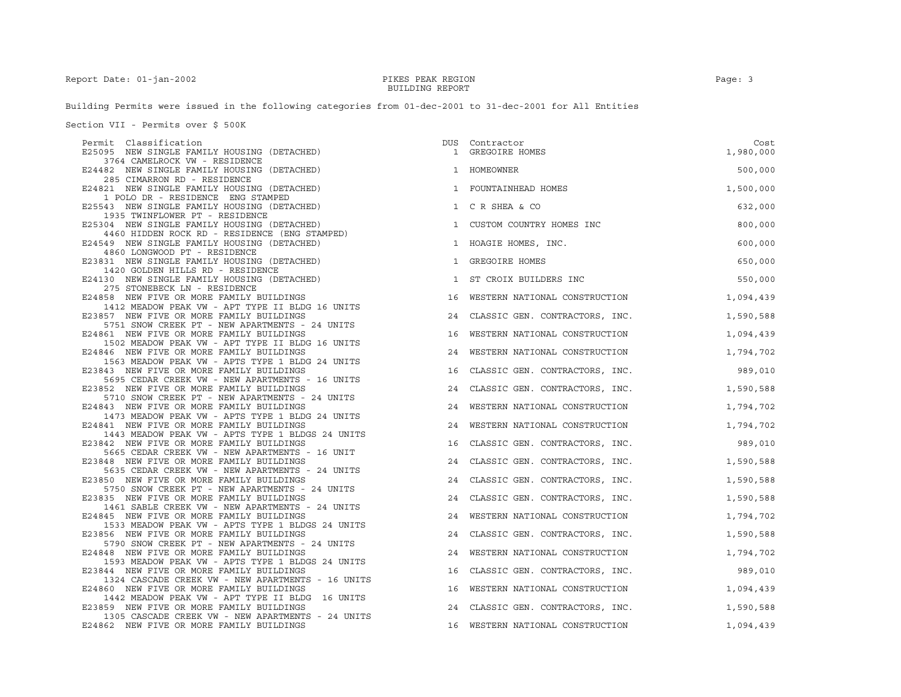Building Permits were issued in the following categories from 01-dec-2001 to 31-dec-2001 for All Entities

Section VII - Permits over \$ 500K

| Permit Classification<br>E25095 NEW SINGLE FAMILY HOUSING (DETACHED)                          | DUS          | Contractor<br>1 GREGOIRE HOMES    | Cost<br>1,980,000 |
|-----------------------------------------------------------------------------------------------|--------------|-----------------------------------|-------------------|
| 3764 CAMELROCK VW - RESIDENCE                                                                 |              |                                   |                   |
| E24482 NEW SINGLE FAMILY HOUSING (DETACHED)<br>285 CIMARRON RD - RESIDENCE                    |              | 1 HOMEOWNER                       | 500,000           |
| E24821 NEW SINGLE FAMILY HOUSING (DETACHED)<br>1 POLO DR - RESIDENCE ENG STAMPED              |              | 1 FOUNTAINHEAD HOMES              | 1,500,000         |
| E25543 NEW SINGLE FAMILY HOUSING (DETACHED)<br>1935 TWINFLOWER PT - RESIDENCE                 |              | 1 C R SHEA & CO                   | 632,000           |
| E25304 NEW SINGLE FAMILY HOUSING (DETACHED)<br>4460 HIDDEN ROCK RD - RESIDENCE (ENG STAMPED)  | $\mathbf{1}$ | CUSTOM COUNTRY HOMES INC          | 800,000           |
| E24549 NEW SINGLE FAMILY HOUSING (DETACHED)<br>4860 LONGWOOD PT - RESIDENCE                   |              | 1 HOAGIE HOMES, INC.              | 600,000           |
| E23831 NEW SINGLE FAMILY HOUSING (DETACHED)<br>1420 GOLDEN HILLS RD - RESIDENCE               |              | 1 GREGOIRE HOMES                  | 650,000           |
| E24130 NEW SINGLE FAMILY HOUSING (DETACHED)<br>275 STONEBECK LN - RESIDENCE                   | $\mathbf{1}$ | ST CROIX BUILDERS INC             | 550,000           |
| E24858 NEW FIVE OR MORE FAMILY BUILDINGS<br>1412 MEADOW PEAK VW - APT TYPE II BLDG 16 UNITS   |              | 16 WESTERN NATIONAL CONSTRUCTION  | 1,094,439         |
| E23857 NEW FIVE OR MORE FAMILY BUILDINGS                                                      |              | 24 CLASSIC GEN. CONTRACTORS, INC. | 1,590,588         |
| 5751 SNOW CREEK PT - NEW APARTMENTS - 24 UNITS<br>E24861 NEW FIVE OR MORE FAMILY BUILDINGS    | 16           | WESTERN NATIONAL CONSTRUCTION     | 1,094,439         |
| 1502 MEADOW PEAK VW - APT TYPE II BLDG 16 UNITS<br>E24846 NEW FIVE OR MORE FAMILY BUILDINGS   | 24           | WESTERN NATIONAL CONSTRUCTION     | 1,794,702         |
| 1563 MEADOW PEAK VW - APTS TYPE 1 BLDG 24 UNITS<br>E23843 NEW FIVE OR MORE FAMILY BUILDINGS   | 16           | CLASSIC GEN. CONTRACTORS, INC.    | 989,010           |
| 5695 CEDAR CREEK VW - NEW APARTMENTS - 16 UNITS<br>E23852 NEW FIVE OR MORE FAMILY BUILDINGS   | 24           | CLASSIC GEN. CONTRACTORS, INC.    | 1,590,588         |
| 5710 SNOW CREEK PT - NEW APARTMENTS - 24 UNITS<br>E24843 NEW FIVE OR MORE FAMILY BUILDINGS    | 24           | WESTERN NATIONAL CONSTRUCTION     | 1,794,702         |
| 1473 MEADOW PEAK VW - APTS TYPE 1 BLDG 24 UNITS<br>E24841 NEW FIVE OR MORE FAMILY BUILDINGS   |              | 24 WESTERN NATIONAL CONSTRUCTION  | 1,794,702         |
| 1443 MEADOW PEAK VW - APTS TYPE 1 BLDGS 24 UNITS<br>E23842 NEW FIVE OR MORE FAMILY BUILDINGS  |              | 16 CLASSIC GEN. CONTRACTORS, INC. | 989,010           |
| 5665 CEDAR CREEK VW - NEW APARTMENTS - 16 UNIT<br>E23848 NEW FIVE OR MORE FAMILY BUILDINGS    |              | 24 CLASSIC GEN. CONTRACTORS, INC. | 1,590,588         |
| 5635 CEDAR CREEK VW - NEW APARTMENTS - 24 UNITS<br>E23850 NEW FIVE OR MORE FAMILY BUILDINGS   |              | 24 CLASSIC GEN. CONTRACTORS, INC. | 1,590,588         |
| 5750 SNOW CREEK PT - NEW APARTMENTS - 24 UNITS<br>E23835 NEW FIVE OR MORE FAMILY BUILDINGS    |              | 24 CLASSIC GEN. CONTRACTORS, INC. | 1,590,588         |
| 1461 SABLE CREEK VW - NEW APARTMENTS - 24 UNITS<br>E24845 NEW FIVE OR MORE FAMILY BUILDINGS   |              | 24 WESTERN NATIONAL CONSTRUCTION  | 1,794,702         |
| 1533 MEADOW PEAK VW - APTS TYPE 1 BLDGS 24 UNITS<br>E23856 NEW FIVE OR MORE FAMILY BUILDINGS  |              |                                   |                   |
| 5790 SNOW CREEK PT - NEW APARTMENTS - 24 UNITS                                                |              | 24 CLASSIC GEN. CONTRACTORS, INC. | 1,590,588         |
| E24848 NEW FIVE OR MORE FAMILY BUILDINGS<br>1593 MEADOW PEAK VW - APTS TYPE 1 BLDGS 24 UNITS  | 24           | WESTERN NATIONAL CONSTRUCTION     | 1,794,702         |
| E23844 NEW FIVE OR MORE FAMILY BUILDINGS<br>1324 CASCADE CREEK VW - NEW APARTMENTS - 16 UNITS |              | 16 CLASSIC GEN. CONTRACTORS, INC. | 989,010           |
| E24860 NEW FIVE OR MORE FAMILY BUILDINGS<br>1442 MEADOW PEAK VW - APT TYPE II BLDG 16 UNITS   | 16           | WESTERN NATIONAL CONSTRUCTION     | 1,094,439         |
| E23859 NEW FIVE OR MORE FAMILY BUILDINGS<br>1305 CASCADE CREEK VW - NEW APARTMENTS - 24 UNITS |              | 24 CLASSIC GEN. CONTRACTORS, INC. | 1,590,588         |
| E24862 NEW FIVE OR MORE FAMILY BUILDINGS                                                      |              | 16 WESTERN NATIONAL CONSTRUCTION  | 1,094,439         |